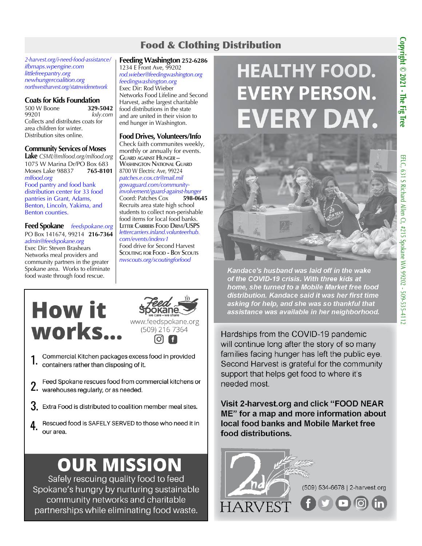# EFLC, EFLC, 631 S Richard Allen Ct, #215 Spokane WA 99202 - 509-535-4112631 S Richard Allen Ct, #215 Spokane WA 99202 - 509-535-4112

# Food & Clothing Distribution

*2-harvest.org/i-need-food-assistance/ ifbmaps.wpengine.com littlefreepantry.org newhungercoalition.org northwestharvest.org/statewidenetwork*

**Coats for Kids Foundation**<br>500 W Boone<br>329-5042 500 W Boone<br>99201 99201 *kxly.com* Collects and distributes coats for area children for winter. Distribution sites online.

# **Community Services of Moses**

**Lake** *CSML@mlfood.org/mlfood.org* 1075 W Marina Dr/PO Box 683<br>Moses Lake 98837 765-8101 Moses Lake 98837 *mlfood.org* 

Food pantry and food bank distribution center for 33 food pantries in Grant, Adams, Benton, Lincoln, Yakima, and Benton counties.

**Feed Spokane** *feedspokane.org* PO Box 141674, 99214 **216-7364** *admin@feedspokane.org* Exec Dir: Steven Brashears Networks meal providers and community partners in the greater Spokane area. Works to eliminate food waste through food rescue.

# **Feeding Washington 252-6286**

1234 E Front Ave, 99202 *rod.wieber@feedingwashington.org feedingwashington.org* Exec Dir: Rod Wieber Networks Food Lifeline and Second Harvest, asthe largest charitable food distributions in the state and are united in their vision to end hunger in Washington.

#### **Food Drives, Volunteers/Info**

Check faith communites weekly, monthly or annually for events.<br>GUARD AGAINST HUNGER -**WASHINGTON NATIONAL GUARD** 8700 W Electric Ave, 99224 *patches.e.cox.ctr@mail.mil gowaguard.com/communityinvolvement/guard-against-hunger* Coord: Patches Cox Recruits area state high school students to collect non-perishable food items for local food banks. **Letter Carriers Food Drive/USPS** *lettercarriers.inland.volunteerhub. com/events/indexv1* Food drive for Second Harvest **Scouting for Food - Boy Scouts** *nwscouts.org/scoutingforfood*

# **How it** works..



www.feedspokane.org (509) 216 7364 i **ମ**ା

- Commercial Kitchen packages excess food in provided containers rather than disposing of it.
- Feed Spokane rescues food from commercial kitchens or 2. Feed Spokane rescues food from com-<br>2. warehouses regularly, or as needed.
- З. Extra Food is distributed to coalition member meal sites.
- Rescued food is SAFELY SERVED to those who need it in 4 our area.

# **OUR MISSION**

Safely rescuing quality food to feed Spokane's hungry by nurturing sustainable community networks and charitable partnerships while eliminating food waste.

# **HEALTHY FOOD. EVERY PERSON. VERY DAY.**



Kandace's husband was laid off in the wake of the COVID-19 crisis. With three kids at home, she turned to a Mobile Market free food distribution. Kandace said it was her first time asking for help, and she was so thankful that assistance was available in her neighborhood.

Hardships from the COVID-19 pandemic will continue long after the story of so many families facing hunger has left the public eye. Second Harvest is grateful for the community support that helps get food to where it's needed most.

Visit 2-harvest.org and click "FOOD NEAR ME" for a map and more information about local food banks and Mobile Market free food distributions.

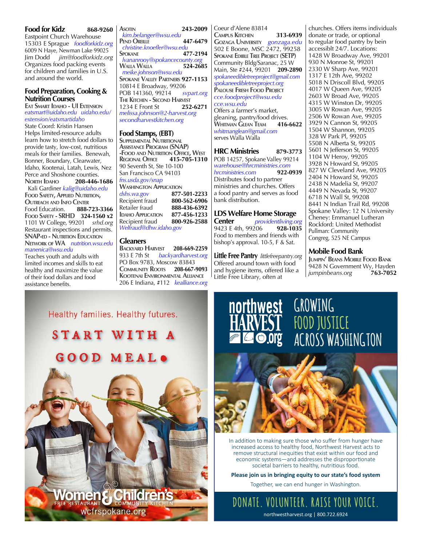# **Food for Kidz 868-9260**

Eastpoint Church Warehouse 15303 E Sprague *foodforkidz.org* 6009 N Haye, Newman Lake 99025 Jim Dodd *jim@foodforkidz.org*  Organizes food packing events for children and families in U.S. and around the world.

## **Food Preparation, Cooking & Nutrition Courses**

**Eat Smart Idaho - UI Extension** *eatsmart@uidaho.edu uidaho.edu/ extension/eatsmartidaho* State Coord: Kristin Hansen Helps limited-resource adults learn how to stretch food dollars to provide tasty, low-cost, nutritious meals for their families. Benewah, Bonner, Boundary, Clearwater, Idaho, Kootenai, Latah, Lewis, Nez Perce and Shoshone counties.<br>
NORTH IDAHO 208-446-**North Idaho 208-446-1686** Kali Gardiner *kalig@uidaho.edu* **Food Safety, Applied Nutrition, Outreach and Info Center** Food Education. **888-723-3366 Food Safety - SRHD 324-1560 x2** 1101 W College, 99201 *srhd.org* Restaurant inspections and permits. **SNAP-ed - Nutrition Education Network of WA** *nutrition.wsu.edu manenica@wsu.edu*

Teaches youth and adults with limited incomes and skills to eat healthy and maximize the value of their food dollars and food assistance benefits.

**Asotin 243-2009**  *kim.belanger@wsu.edu* **Pend Oreille 447-6479**   *christine.knoefler@wsu.edu* **Spokane 477-2194**  *lvananrooy@spokancecounty.org*  **Walla Walla 524-2685**   *meike.johnson@wsu.edu* **Spokane Valley Partners 927-1153** 10814 E Broadway, 99206 POB 141360, 99214 *svpart.org* **The Kitchen - Second Harvest**<br>1234 E Front St **252-6271** 1234 E Front St *melissa.johnson@2-harvest.org secondharvestkitchen.org*

# **Food Stamps, (EBT)**

**Supplemental Nutritional Assistance Program (SNAP) -Food and Nutrition Office, West Regional Office 415-705-1310** 90 Seventh St, Ste 10-100 San Francisco CA 94103 *fns.usda.gov/snap* **Washington Application**<br>dshs.wa.gov **877-501-2233** *dshs.wa.gov* **877-501-2233 Recipient fraud** Retailer fraud **888-436-6392 IDAHO APPLICATION 877-456-1233**<br> **Recipient fraud 800-926-2588 Recipient fraud** *Welfraud@dhw.idaho.gov*

#### **Gleaners**

**Backyard Harvest 208-669-2259** 933 E 7th St *backyardharvest.org* PO Box 9783, Moscow 83843 **Community Roots 208-667-9093 Kootenai Environmental Alliance** 206 E Indiana, #112 *kealliance.org* Coeur d'Alene 83814 **Campus Kitchen 313-6939 Gozaga University** *gonzaga.edu* 502 E Boone, MSC 2472, 99258 **Spokane Edible Tree Project (SETP)** Community Bldg/Saranac, 25 W Main, Ste #244, 99201 **209-2890** *spokaneedibletreeproject@gmail.com spokaneedibletreeproject.org* **Palouse Fresh Food Project** *cce.foodproject@wsu.edu cce.wsu.edu*  Offers a farmer's market, gleaning, pantry/food drives.<br>WHITMAN GLEAN TEAM 416-6622 **Whitman Glean Team 416-6622** *whitmanglean@gmail.com* serves Walla Walla

**HRC Ministries 879-3773** POB 14257, Spokane Valley 99214 *warehouse@hrcministries.com hrcministries.com* **922-0939** Distributes food to partner ministries and churches. Offers a food pantry and serves as food bank distribution.

#### **LDS Welfare Home Storage Center** *providentliving.org* 9423 E 4th, 99206 Food to members and friends with bishop's approval. 10-5, F & Sat.

**Little Free Pantry** *littlefreepantry.org* Offered around town with food and hygiene items, offered like a Little Free Library, often at

churches. Offers items individuals donate or trade, or optional to regular food pantry by bein accessiblt 24/7. Locations: 1428 W Broadway Ave, 99201 930 N Monroe St, 99201 2330 W Sharp Ave, 99201 1317 E 12th Ave, 99202 5018 N Driscoll Blvd, 99205 4017 W Queen Ave, 99205 2603 W Broad Ave, 99205 4315 W Winston Dr, 99205 3005 W Rowan Ave, 99205 2506 W Rowan Ave, 99205 3929 N Cannon St, 99205 1504 W Shannon, 99205 328 W Park Pl, 99205 5508 N Alberta St, 99205 5601 N Jefferson St, 99205 1104 W Heroy, 99205 3928 N Howard St, 99205 827 W Cleveland Ave, 99205 2404 N Howard St, 99205 2438 N Madelia St, 99207 4449 N Nevada St, 99207 6718 N Wall St, 99208 8441 N Indian Trail Rd, 99208 Spokane Valley: 12 N University Cheney: Emmanuel Lutheran Rockford: United Methodist Pullman: Community Congreg, 525 NE Campus

### **Mobile Food Bank**

**Jumpin' Beans Mobile Food Bank** 9428 N Government Wy, Hayden<br>
iumpinbeans.org 763-7052 *jumpinbeans.org* **763-7052**

# Healthy families. Healthy futures.

# START WITH A GOOD MEAL

**Jomen & Children's** 

wcfrspokane.org





In addition to making sure those who suffer from hunger have increased access to healthy food, Northwest Harvest acts to remove structural inequities that exist within our food and economic systems—and addresses the disproportionate societal barriers to healthy, nutritious food.

**Please join us in bringing equity to our state's food system**

Together, we can end hunger in Washington.

**DONATE. VOLUNTEER. RAISE YOUR VOICE.** northwestharvest.org | 800.722.6924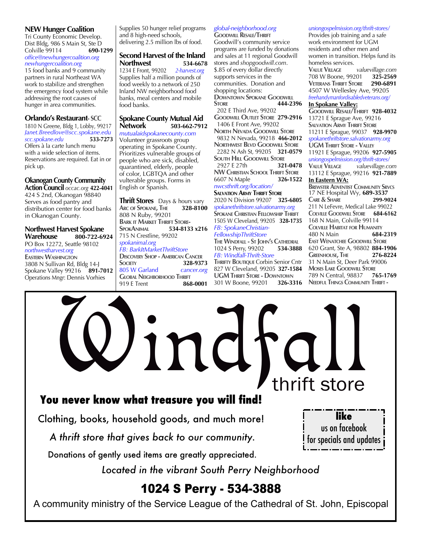# **NEW Hunger Coalition**

Tri County Economic Develop. Dist Bldg, 986 S Main St, Ste D Colville 99114 **690-1299** *office@newhungercoalition.org newhungercoalition.org* 

15 food banks and 9 community partners in rural Northeast WA work to stabilize and strengthen the emergency food system while addressing the root causes of hunger in area communities.

# **Orlando's Restaurant- SCC**

1810 N Greene, Bldg 1, Lobby, 99217 *Janet.Breedlove@scc.spokane.edu scc.spokane.edu* **533-7273** Offers à la carte lunch menu with a wide selection of items. Reservations are required. Eat in or pick up.

# **Okanogan County Community**

**Action Council** *occac.org* **422-4041** 424 S 2nd, Okanogan 98840 Serves as food pantry and distribution center for food banks in Okanogan County.

# **Northwest Harvest Spokane**

**Warehouse 800-722-6924** PO Box 12272, Seattle 98102 *northwestharvest.org* **Eastern Washington** 3808 N Sullivan Rd, Bldg 14-J

Spokane Valley 99216 **891-7012** Operations Mngr: Dennis Vorhies

Supplies 50 hunger relief programs and 8 high-need schools, delivering 2.5 million lbs of food.

# **Second Harvest of the Inland**

**Northwest 534-6678**<br>1234 E Front, 99202 2-*harvest.org* 1234 E Front, 99202 Supplies half a million pounds of food weekly to a network of 250 Inland NW neighborhood food banks, meal centers and mobile food banks.

# **Spokane County Mutual Aid Network 503-662-7912**

*mutualaidspokanecounty.com* Volunteer grassroots group operating in Spokane County. Prioritizes vulnerable groups of people who are sick, disabled, quarantined, elderly, people of color, LGBTQA and other vulterable groups. Forms in English or Spanish.

**Thrift Stores** Days & hours vary<br>Arc of Spokane, The **328-8100 Arc of Spokane, The 328-8100** 808 N Ruby, 99201 **Bark it Market Thrift Store-SpokAnimal 534-8133 x216** 715 N Crestline, 99202 *spokanimal.org FB: BarkItMarketThriftStore*  **Discovery Shop - American Cancer Society 328-9373** 805 W Garland *cancer.org* **Global Neighborhood Thrift** 919 E Trent **868-0001**

# *global-neighborhood.org*

**GOODWILL RESALE/THRIFT** Goodwill's community service programs are funded by donations and sales at 11 regional Goodwill stores and *shopgoodwill.com*. \$.85 of every dollar directly supports services in the communities. Donation and shopping locations: **DOWNTOWN SPOKANE GOODWILL**<br>**STORE** 444-23 **Store 444-2396** 202 E Third Ave, 99202 **Goodwill Outlet Store 279-2916** 1406 E Front Ave, 99202 **North Nevada Goodwill Store** 9832 N Nevada, 99218 **466-2012 Northwest Blvd Goodwill Store** 2282 N Ash St, 99205 **321-0579 SOUTH HILL GOODWILL STORE**<br>2927 E 27th **321-0478**  2927 E 27th **321-0478 NW Christian School Thrift Store** 6607 N Maple **326-1522** *nwcsthrift.org/location/* **SALVATION ARMY THRIFT STORE** 2020 N Division 99207 **325-6805** *spokanethriftstore.salvationarmy.org* **SPOKANE CHRISTIAN FELLOWSHIP THRIFT** 1505 W Cleveland, 99205 **328-1735** *FB: SpokaneChristian-FellowshipThriftStore* **THE WINDFALL - ST JOHN'S CATHEDRAL**<br>1024 S Perry, 99202 **534-3888** 1024 S Perry, 99202 *FB: Windfall-Thrift-Store* **THRIFTY BOUTIQUE Corbin Senior Cntr** 827 W Cleveland, 99205 **327-1584**

**UGM Thrift Store - Downtown** 301 W Boone, 99201 **326-3316** 

Ind  $\int_{\text{thrift store}}$ 

### *uniongospelmission.org/thrift-stores/*

Provides job training and a safe work environment for UGM residents and other men and women in transition. Helps fund its homeless services.<br>VALUE VILLAGE **Value Village** *valuevillage.com* 708 W Boone, 99201 **325-2569 Veterans Thrift Store 290-6891** 4507 W Wellesley Ave, 99205 *freehandymanfordisabledveterans.org/* **In Spokane Valley: Goodwill Resale/Thrift 928-4032** 13721 E Sprague Ave, 99216 **Salvation Army Thrift Store** 11211 E Sprague, 99037 **928-9970** *spokanethriftstore.salvationarmy.org* **UGM Thrift Store - Valley** 11921 E Sprague, 99206 **927-5905** *uniongospelmission.org/thrift-stores/* **Value Village** *valuevillage.com* 13112 E Sprague, 99216 **921-7889 In Eastern WA: Brewster Adventist Community Srvcs** 17 NE Hospital Wy, **689-3537 Care & Share 299-9024** 211 N LeFevre, Medical Lake 99022 **Colville Goodwill Store 684-6162** 168 N Main, Colville 99114 **Colville Habitat for Humanity** 480 N Main **684-2319 East Wenatchee Goodwill Store** 620 Grant, Ste A, 98802 **884-1906 Greenhouse, The 276-8224** 31 N Main St, Deer Park 99006

**Moses Lake Goodwill Store** 789 N Central, 98837 **765-1769 Needful Things Community Thrift -** 

# **You never know what treasure you will find!**

Clothing, books, household goods, and much more!

*A thrift store that gives back to our community.*

Donations of gently used items are greatly appreciated.

*Located in the vibrant South Perry Neighborhood*

# **1024 S Perry - 534-3888 - Open M-F 1 to 6 Sat 12 to 5** 1024 S Perry - 534-3888

 $\mathcal{A}$  computed with  $\mathcal{A}$  community  $\mathcal{A}$  and  $\mathcal{A}$  are League A community ministry of the Service League of the Cathedral of St. John, Episcopal